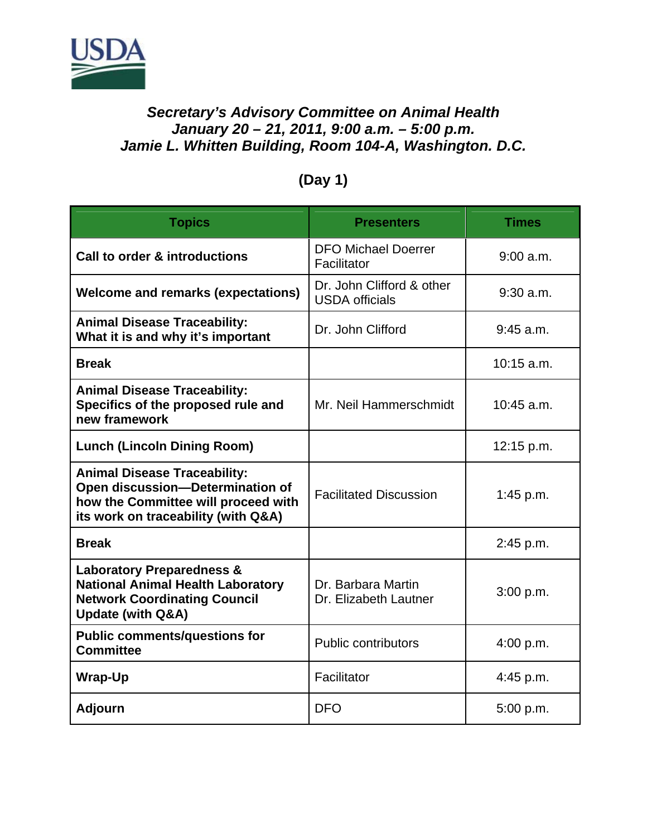

## *Secretary's Advisory Committee on Animal Health January 20 – 21, 2011, 9:00 a.m. – 5:00 p.m. Jamie L. Whitten Building, Room 104-A, Washington. D.C.*

| <b>Topics</b>                                                                                                                                           | <b>Presenters</b>                                  | <b>Times</b> |
|---------------------------------------------------------------------------------------------------------------------------------------------------------|----------------------------------------------------|--------------|
| <b>Call to order &amp; introductions</b>                                                                                                                | <b>DFO Michael Doerrer</b><br>Facilitator          | 9:00 a.m.    |
| <b>Welcome and remarks (expectations)</b>                                                                                                               | Dr. John Clifford & other<br><b>USDA</b> officials | $9:30$ a.m.  |
| <b>Animal Disease Traceability:</b><br>What it is and why it's important                                                                                | Dr. John Clifford                                  | $9:45$ a.m.  |
| <b>Break</b>                                                                                                                                            |                                                    | 10:15 a.m.   |
| <b>Animal Disease Traceability:</b><br>Specifics of the proposed rule and<br>new framework                                                              | Mr. Neil Hammerschmidt                             | 10:45 a.m.   |
| <b>Lunch (Lincoln Dining Room)</b>                                                                                                                      |                                                    | 12:15 p.m.   |
| <b>Animal Disease Traceability:</b><br>Open discussion-Determination of<br>how the Committee will proceed with<br>its work on traceability (with Q&A)   | <b>Facilitated Discussion</b>                      | 1:45 p.m.    |
| <b>Break</b>                                                                                                                                            |                                                    | 2:45 p.m.    |
| <b>Laboratory Preparedness &amp;</b><br><b>National Animal Health Laboratory</b><br><b>Network Coordinating Council</b><br><b>Update (with Q&amp;A)</b> | Dr. Barbara Martin<br>Dr. Elizabeth Lautner        | 3:00 p.m.    |
| <b>Public comments/questions for</b><br><b>Committee</b>                                                                                                | <b>Public contributors</b>                         | 4:00 p.m.    |
| <b>Wrap-Up</b>                                                                                                                                          | Facilitator                                        | $4:45$ p.m.  |
| <b>Adjourn</b>                                                                                                                                          | <b>DFO</b>                                         | 5:00 p.m.    |

## **(Day 1)**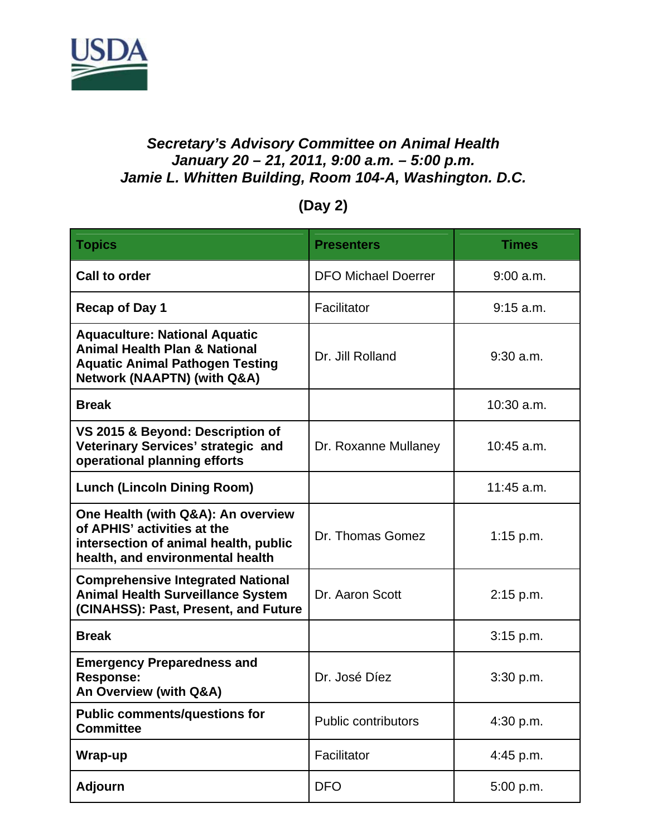

## *Secretary's Advisory Committee on Animal Health January 20 – 21, 2011, 9:00 a.m. – 5:00 p.m. Jamie L. Whitten Building, Room 104-A, Washington. D.C.*

## **(Day 2)**

| <b>Topics</b>                                                                                                                                                        | <b>Presenters</b>          | <b>Times</b> |
|----------------------------------------------------------------------------------------------------------------------------------------------------------------------|----------------------------|--------------|
| <b>Call to order</b>                                                                                                                                                 | <b>DFO Michael Doerrer</b> | 9:00 a.m.    |
| <b>Recap of Day 1</b>                                                                                                                                                | Facilitator                | $9:15$ a.m.  |
| <b>Aquaculture: National Aquatic</b><br><b>Animal Health Plan &amp; National</b><br><b>Aquatic Animal Pathogen Testing</b><br><b>Network (NAAPTN) (with Q&amp;A)</b> | Dr. Jill Rolland           | $9:30$ a.m.  |
| <b>Break</b>                                                                                                                                                         |                            | $10:30$ a.m. |
| VS 2015 & Beyond: Description of<br>Veterinary Services' strategic and<br>operational planning efforts                                                               | Dr. Roxanne Mullaney       | $10:45$ a.m. |
| <b>Lunch (Lincoln Dining Room)</b>                                                                                                                                   |                            | $11:45$ a.m. |
| One Health (with Q&A): An overview<br>of APHIS' activities at the<br>intersection of animal health, public<br>health, and environmental health                       | Dr. Thomas Gomez           | 1:15 p.m.    |
| <b>Comprehensive Integrated National</b><br><b>Animal Health Surveillance System</b><br>(CINAHSS): Past, Present, and Future                                         | Dr. Aaron Scott            | $2:15$ p.m.  |
| <b>Break</b>                                                                                                                                                         |                            | 3:15 p.m.    |
| <b>Emergency Preparedness and</b><br><b>Response:</b><br>An Overview (with Q&A)                                                                                      | Dr. José Díez              | 3:30 p.m.    |
| <b>Public comments/questions for</b><br><b>Committee</b>                                                                                                             | <b>Public contributors</b> | 4:30 p.m.    |
| Wrap-up                                                                                                                                                              | Facilitator                | 4:45 p.m.    |
| <b>Adjourn</b>                                                                                                                                                       | <b>DFO</b>                 | 5:00 p.m.    |